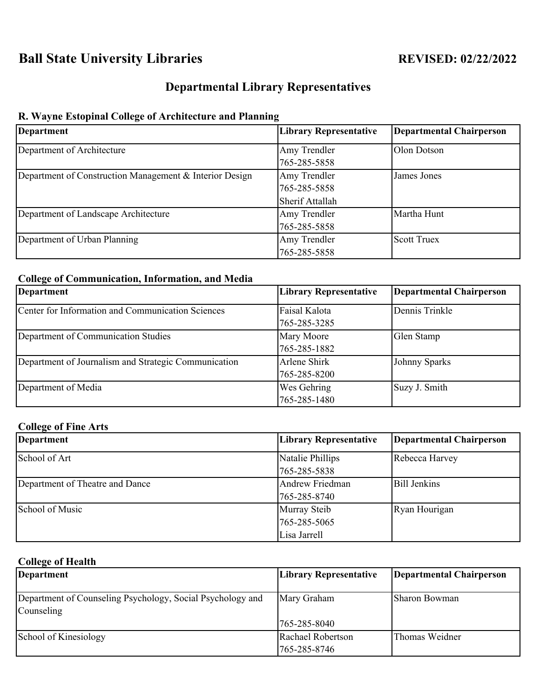# **Ball State University Libraries REVISED: 02/22/2022**

# **Departmental Library Representatives**

# **R. Wayne Estopinal College of Architecture and Planning**

| <b>Department</b>                                       | <b>Library Representative</b> | <b>Departmental Chairperson</b> |
|---------------------------------------------------------|-------------------------------|---------------------------------|
| Department of Architecture                              | Amy Trendler                  | Olon Dotson                     |
|                                                         | 765-285-5858                  |                                 |
| Department of Construction Management & Interior Design | Amy Trendler                  | James Jones                     |
|                                                         | 765-285-5858                  |                                 |
|                                                         | Sherif Attallah               |                                 |
| Department of Landscape Architecture                    | Amy Trendler                  | Martha Hunt                     |
|                                                         | 765-285-5858                  |                                 |
| Department of Urban Planning                            | Amy Trendler                  | <b>Scott Truex</b>              |
|                                                         | 765-285-5858                  |                                 |

#### **College of Communication, Information, and Media**

| Department                                           | <b>Library Representative</b> | Departmental Chairperson |
|------------------------------------------------------|-------------------------------|--------------------------|
| Center for Information and Communication Sciences    | Faisal Kalota                 | Dennis Trinkle           |
|                                                      | 765-285-3285                  |                          |
| Department of Communication Studies                  | Mary Moore                    | Glen Stamp               |
|                                                      | 765-285-1882                  |                          |
| Department of Journalism and Strategic Communication | Arlene Shirk                  | Johnny Sparks            |
|                                                      | 765-285-8200                  |                          |
| Department of Media                                  | Wes Gehring                   | Suzy J. Smith            |
|                                                      | 765-285-1480                  |                          |

#### **College of Fine Arts**

| Department                      | <b>Library Representative</b> | Departmental Chairperson |
|---------------------------------|-------------------------------|--------------------------|
| School of Art                   | Natalie Phillips              | Rebecca Harvey           |
|                                 | 765-285-5838                  |                          |
| Department of Theatre and Dance | Andrew Friedman               | <b>Bill Jenkins</b>      |
|                                 | 765-285-8740                  |                          |
| School of Music                 | Murray Steib                  | Ryan Hourigan            |
|                                 | 765-285-5065                  |                          |
|                                 | Lisa Jarrell                  |                          |

## **College of Health**

| <b>Department</b>                                                        | <b>Library Representative</b> | Departmental Chairperson |
|--------------------------------------------------------------------------|-------------------------------|--------------------------|
| Department of Counseling Psychology, Social Psychology and<br>Counseling | Mary Graham                   | Sharon Bowman            |
|                                                                          | 765-285-8040                  |                          |
| School of Kinesiology                                                    | Rachael Robertson             | Thomas Weidner           |
|                                                                          | 765-285-8746                  |                          |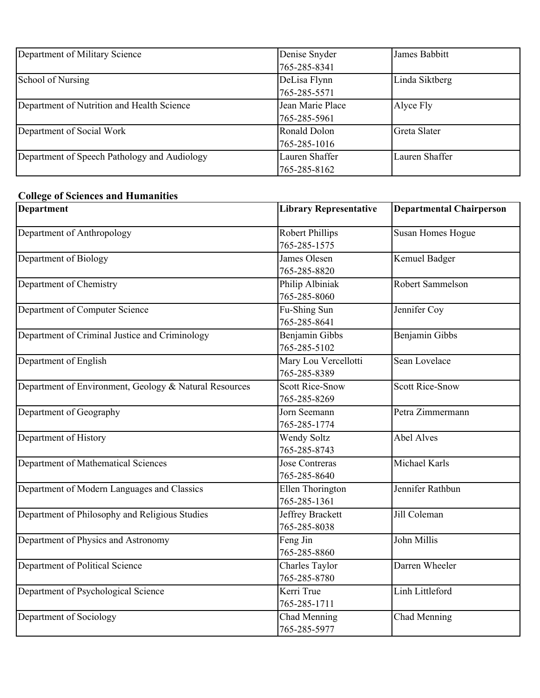| Department of Military Science               | Denise Snyder    | James Babbitt  |
|----------------------------------------------|------------------|----------------|
|                                              | 765-285-8341     |                |
| School of Nursing                            | DeLisa Flynn     | Linda Siktberg |
|                                              | 765-285-5571     |                |
| Department of Nutrition and Health Science   | Jean Marie Place | Alyce Fly      |
|                                              | 765-285-5961     |                |
| Department of Social Work                    | Ronald Dolon     | Greta Slater   |
|                                              | 765-285-1016     |                |
| Department of Speech Pathology and Audiology | Lauren Shaffer   | Lauren Shaffer |
|                                              | 765-285-8162     |                |

### **College of Sciences and Humanities**

| <b>Department</b>                                      | <b>Library Representative</b> | <b>Departmental Chairperson</b> |
|--------------------------------------------------------|-------------------------------|---------------------------------|
| Department of Anthropology                             | <b>Robert Phillips</b>        | Susan Homes Hogue               |
|                                                        | 765-285-1575                  |                                 |
| Department of Biology                                  | James Olesen                  | Kemuel Badger                   |
|                                                        | 765-285-8820                  |                                 |
| Department of Chemistry                                | Philip Albiniak               | Robert Sammelson                |
|                                                        | 765-285-8060                  |                                 |
| Department of Computer Science                         | Fu-Shing Sun                  | Jennifer Coy                    |
|                                                        | 765-285-8641                  |                                 |
| Department of Criminal Justice and Criminology         | Benjamin Gibbs                | Benjamin Gibbs                  |
|                                                        | 765-285-5102                  |                                 |
| Department of English                                  | Mary Lou Vercellotti          | Sean Lovelace                   |
|                                                        | 765-285-8389                  |                                 |
| Department of Environment, Geology & Natural Resources | <b>Scott Rice-Snow</b>        | <b>Scott Rice-Snow</b>          |
|                                                        | 765-285-8269                  |                                 |
| Department of Geography                                | Jorn Seemann                  | Petra Zimmermann                |
|                                                        | 765-285-1774                  |                                 |
| Department of History                                  | Wendy Soltz                   | <b>Abel Alves</b>               |
|                                                        | 765-285-8743                  |                                 |
| Department of Mathematical Sciences                    | <b>Jose Contreras</b>         | Michael Karls                   |
|                                                        | 765-285-8640                  |                                 |
| Department of Modern Languages and Classics            | Ellen Thorington              | Jennifer Rathbun                |
|                                                        | 765-285-1361                  |                                 |
| Department of Philosophy and Religious Studies         | Jeffrey Brackett              | Jill Coleman                    |
|                                                        | 765-285-8038                  |                                 |
| Department of Physics and Astronomy                    | Feng Jin                      | John Millis                     |
|                                                        | 765-285-8860                  |                                 |
| Department of Political Science                        | Charles Taylor                | Darren Wheeler                  |
|                                                        | 765-285-8780                  |                                 |
| Department of Psychological Science                    | Kerri True                    | Linh Littleford                 |
|                                                        | 765-285-1711                  |                                 |
| Department of Sociology                                | Chad Menning                  | Chad Menning                    |
|                                                        | 765-285-5977                  |                                 |